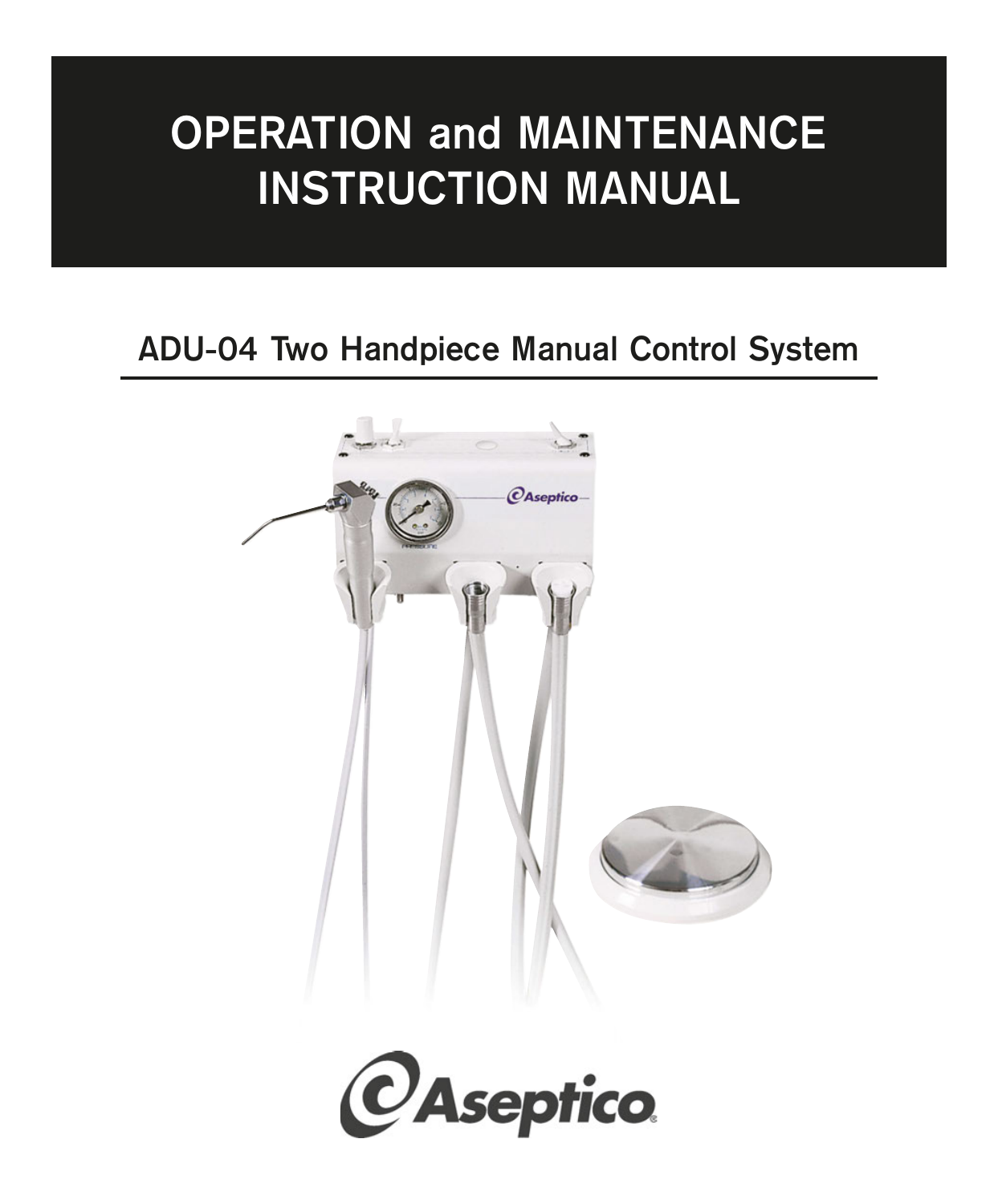# **OPERATION and MAINTENANCE INSTRUCTION MANUAL**

## **ADU-04 Two Handpiece Manual Control System**



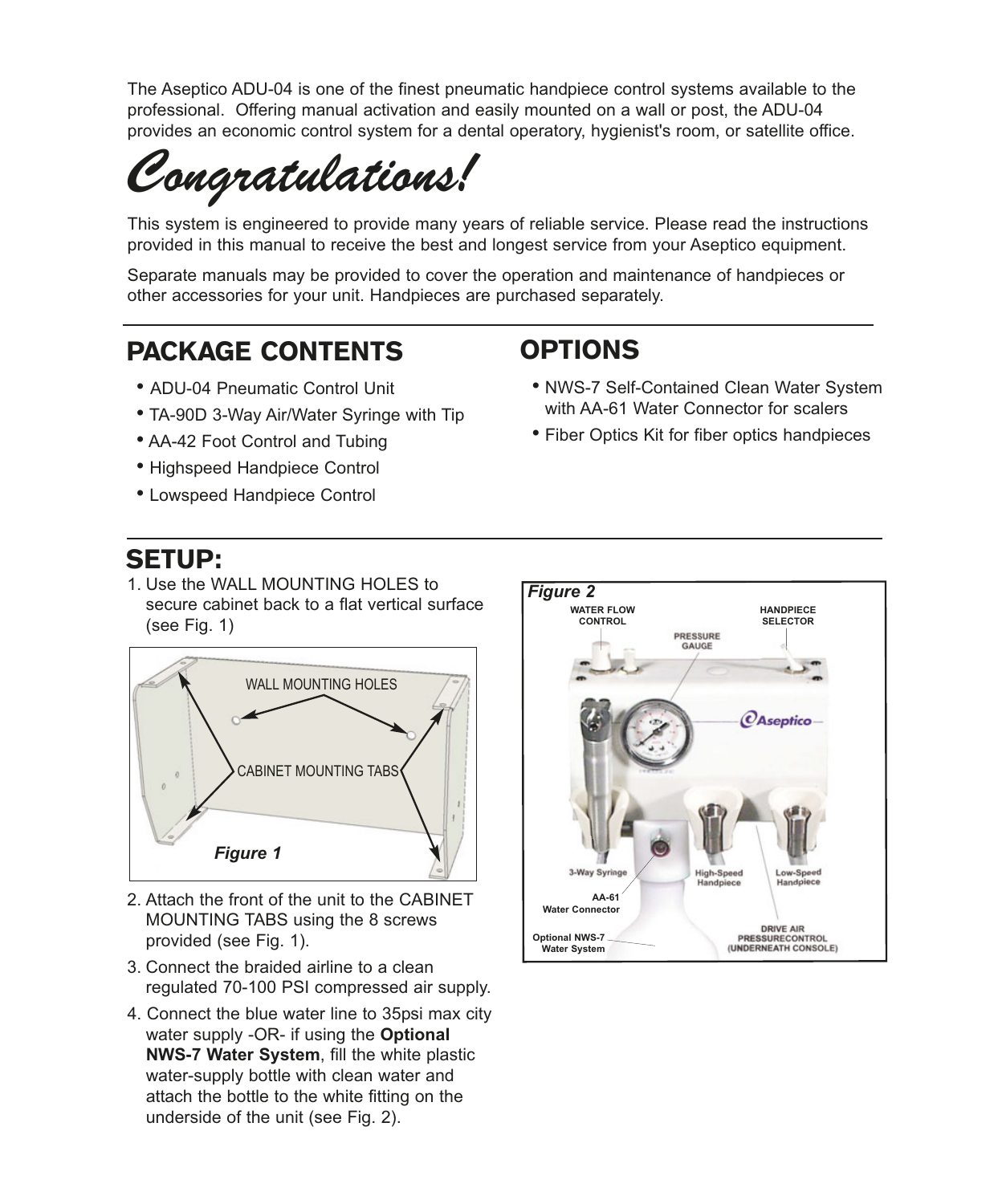The Aseptico ADU-04 is one of the finest pneumatic handpiece control systems available to the professional. Offering manual activation and easily mounted on a wall or post, the ADU-04 provides an economic control system for a dental operatory, hygienist's room, or satellite office.

*Congratulations!*

This system is engineered to provide many years of reliable service. Please read the instructions provided in this manual to receive the best and longest service from your Aseptico equipment.

Separate manuals may be provided to cover the operation and maintenance of handpieces or other accessories for your unit. Handpieces are purchased separately.

## PACKAGE CONTENTS

- ADU-04 Pneumatic Control Unit
- TA-90D 3-Way Air/Water Syringe with Tip
- AA-42 Foot Control and Tubing
- Highspeed Handpiece Control
- Lowspeed Handpiece Control

### SETUP:

1. Use the WALL MOUNTING HOLES to secure cabinet back to a flat vertical surface (see Fig. 1)



- 2. Attach the front of the unit to the CABINET MOUNTING TABS using the 8 screws provided (see Fig. 1).
- 3. Connect the braided airline to a clean regulated 70-100 PSI compressed air supply.
- 4. Connect the blue water line to 35psi max city water supply -OR- if using the **Optional NWS-7 Water System**, fill the white plastic water-supply bottle with clean water and attach the bottle to the white fitting on the underside of the unit (see Fig. 2).
- *Figure 2* **WATER FLOW HANDPIECE CONTROL SELECTOR** PRESSURE GAUGE *<u>OAseptico</u>* 3-Way Syri **AA-61 Water Connector DRIVE AIR** PRESSURECONTROL<br>(UNDERNEATH CONSOLE) **Optional NWS-7 Water System**

## OPTIONS

- NWS-7 Self-Contained Clean Water System with AA-61 Water Connector for scalers
- Fiber Optics Kit for fiber optics handpieces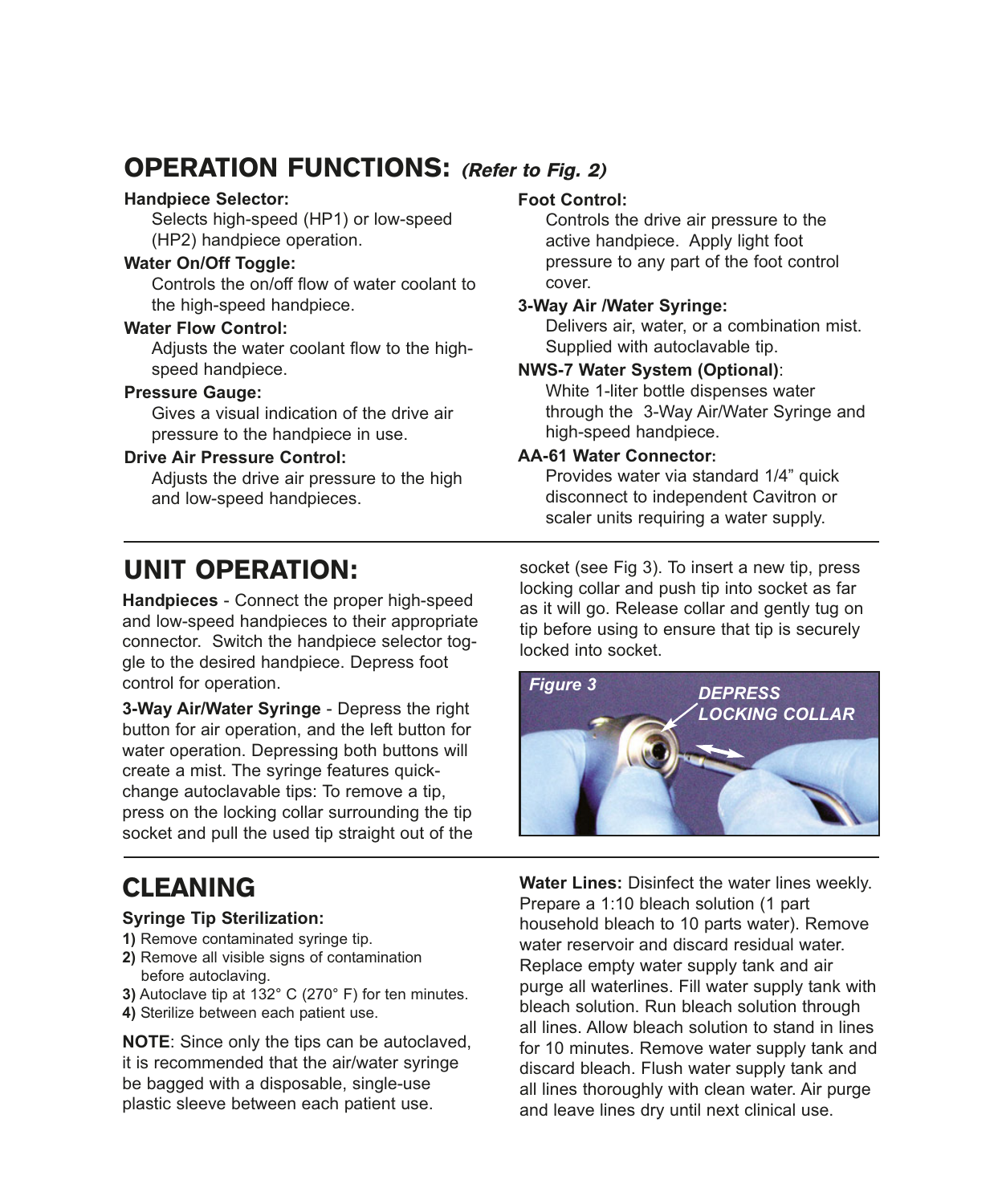## OPERATION FUNCTIONS: (Refer to Fig. 2)

#### **Handpiece Selector:**

Selects high-speed (HP1) or low-speed (HP2) handpiece operation.

#### **Water On/Off Toggle:**

Controls the on/off flow of water coolant to the high-speed handpiece.

#### **Water Flow Control:**

Adjusts the water coolant flow to the highspeed handpiece.

#### **Pressure Gauge:**

Gives a visual indication of the drive air pressure to the handpiece in use.

#### **Drive Air Pressure Control:**

Adjusts the drive air pressure to the high and low-speed handpieces.

## UNIT OPERATION:

**Handpieces** - Connect the proper high-speed and low-speed handpieces to their appropriate connector. Switch the handpiece selector toggle to the desired handpiece. Depress foot control for operation.

**3-Way Air/Water Syringe** - Depress the right button for air operation, and the left button for water operation. Depressing both buttons will create a mist. The syringe features quickchange autoclavable tips: To remove a tip, press on the locking collar surrounding the tip socket and pull the used tip straight out of the

## CLEANING

#### **Syringe Tip Sterilization:**

- **1)** Remove contaminated syringe tip.
- **2)** Remove all visible signs of contamination before autoclaving.
- **3)** Autoclave tip at 132° C (270° F) for ten minutes.
- **4)** Sterilize between each patient use.

**NOTE**: Since only the tips can be autoclaved, it is recommended that the air/water syringe be bagged with a disposable, single-use plastic sleeve between each patient use.

#### **Foot Control:**

Controls the drive air pressure to the active handpiece. Apply light foot pressure to any part of the foot control cover.

#### **3-Way Air /Water Syringe:**

Delivers air, water, or a combination mist. Supplied with autoclavable tip.

#### **NWS-7 Water System (Optional)**:

White 1-liter bottle dispenses water through the 3-Way Air/Water Syringe and high-speed handpiece.

#### **AA-61 Water Connector:**

Provides water via standard 1/4" quick disconnect to independent Cavitron or scaler units requiring a water supply.

socket (see Fig 3). To insert a new tip, press locking collar and push tip into socket as far as it will go. Release collar and gently tug on tip before using to ensure that tip is securely locked into socket.



**Water Lines:** Disinfect the water lines weekly. Prepare a 1:10 bleach solution (1 part household bleach to 10 parts water). Remove water reservoir and discard residual water. Replace empty water supply tank and air purge all waterlines. Fill water supply tank with bleach solution. Run bleach solution through all lines. Allow bleach solution to stand in lines for 10 minutes. Remove water supply tank and discard bleach. Flush water supply tank and all lines thoroughly with clean water. Air purge and leave lines dry until next clinical use.